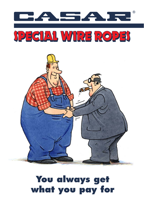



# **You always get what you pay for**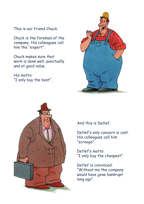This is our friend Chuck.

Chuck is the foreman of the company. His colleagues call him the "expert".

Chuck makes sure that work is done well, punctually and at good value.

His motto: "I only buy the best".





And this is Detlef.

Detlef's only concern is cost. His colleagues call him "scrooge".

Detlef's motto: "I only buy the cheapest".

Detlef is convinced: "Without me the company would have gone bankrupt long ago".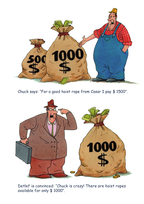

Chuck says: "For a good hoist rope from Casar I pay \$ 1500".



Detlef is convinced: "Chuck is crazy! There are hoist ropes available for only \$ 1000".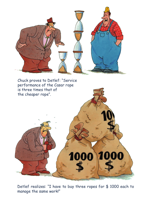

Chuck proves to Detlef: "Service performance of the Casar rope is three times that of



Detlef realizes: "I have to buy three ropes for \$ 1000 each to manage the same work!"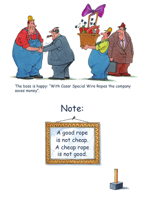

The boss is happy: "With Casar Special Wire Ropes the company saves money".



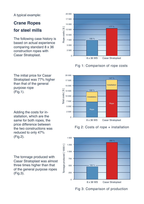### A typical example:

# **Crane Ropes**

# **for steel mills**

The following case history is based on actual experience comparing standard 8 x 36 construction ropes with Casar Stratoplast.

The initial price for Casar Stratoplast was 77% higher

than that of the general

purpose rope

(Fig.1).



## Fig 1: Comparison of rope costs



Adding the costs for installation, which are the same for both ropes, the price difference between the two constructions was

reduced to only 47% (Fig.2).

The tonnage produced with Casar Stratoplast was almost three times higher than that of the general purpose ropes (Fig.3).

# Fig 2: Costs of rope + installation



Fig 3: Comparison of production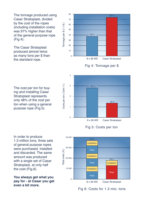The tonnage produced using Casar Stratoplast, divided by the cost of the ropes (including installation costs) was 97% higher than that of the general purpose rope (Fig.4).

The Casar Stratoplast produced almost twice as many tons per \$ than the standard rope.





The cost per ton for buying and installing Casar Stratoplast represents only 48% of the cost per ton when using a general purpose rope (Fig.5).



Fig 5: Costs per ton

In order to produce 1.3 million tons, three sets of general purpose ropes were purchased, installed and discarded. The same amount was produced with a single set of Casar Stratoplast, at only half the cost (Fig.6).

**You always get what you pay for - at Casar you get even a bit more.**



Fig 6: Costs for 1.3 mio. tons